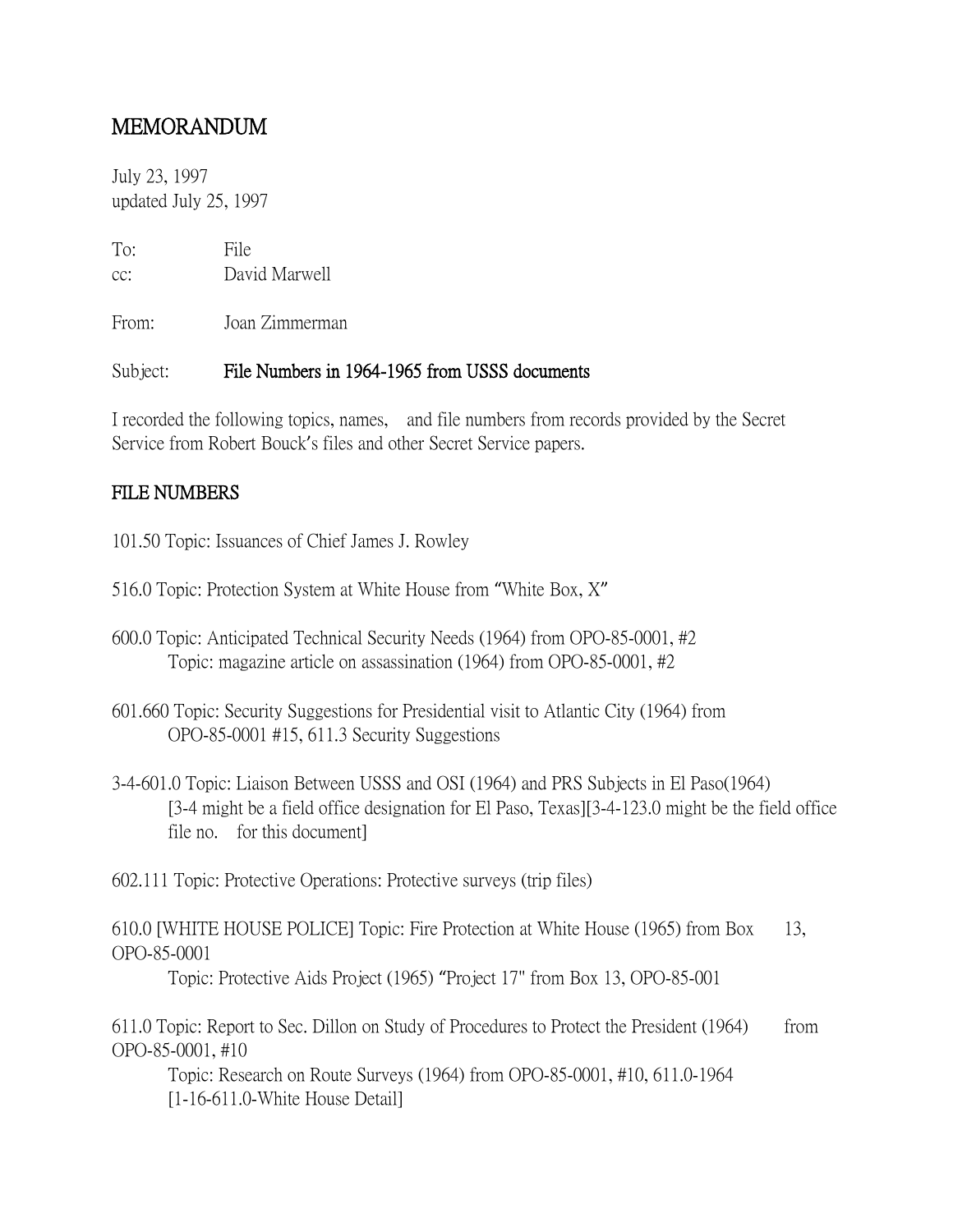## MEMORANDUM

July 23, 1997 updated July 25, 1997

To: File cc: David Marwell

From: Joan Zimmerman

## Subject: File Numbers in 1964-1965 from USSS documents

I recorded the following topics, names, and file numbers from records provided by the Secret Service from Robert Bouck's files and other Secret Service papers.

## FILE NUMBERS

101.50 Topic: Issuances of Chief James J. Rowley

- 516.0 Topic: Protection System at White House from "White Box, X"
- 600.0 Topic: Anticipated Technical Security Needs (1964) from OPO-85-0001, #2 Topic: magazine article on assassination (1964) from OPO-85-0001, #2
- 601.660 Topic: Security Suggestions for Presidential visit to Atlantic City (1964) from OPO-85-0001 #15, 611.3 Security Suggestions
- 3-4-601.0 Topic: Liaison Between USSS and OSI (1964) and PRS Subjects in El Paso(1964) [3-4 might be a field office designation for El Paso, Texas][3-4-123.0 might be the field office file no. for this document]

602.111 Topic: Protective Operations: Protective surveys (trip files)

610.0 [WHITE HOUSE POLICE] Topic: Fire Protection at White House (1965) from Box 13, OPO-85-0001

Topic: Protective Aids Project (1965) "Project 17" from Box 13, OPO-85-001

611.0 Topic: Report to Sec. Dillon on Study of Procedures to Protect the President (1964) from OPO-85-0001, #10

Topic: Research on Route Surveys (1964) from OPO-85-0001, #10, 611.0-1964 [1-16-611.0-White House Detail]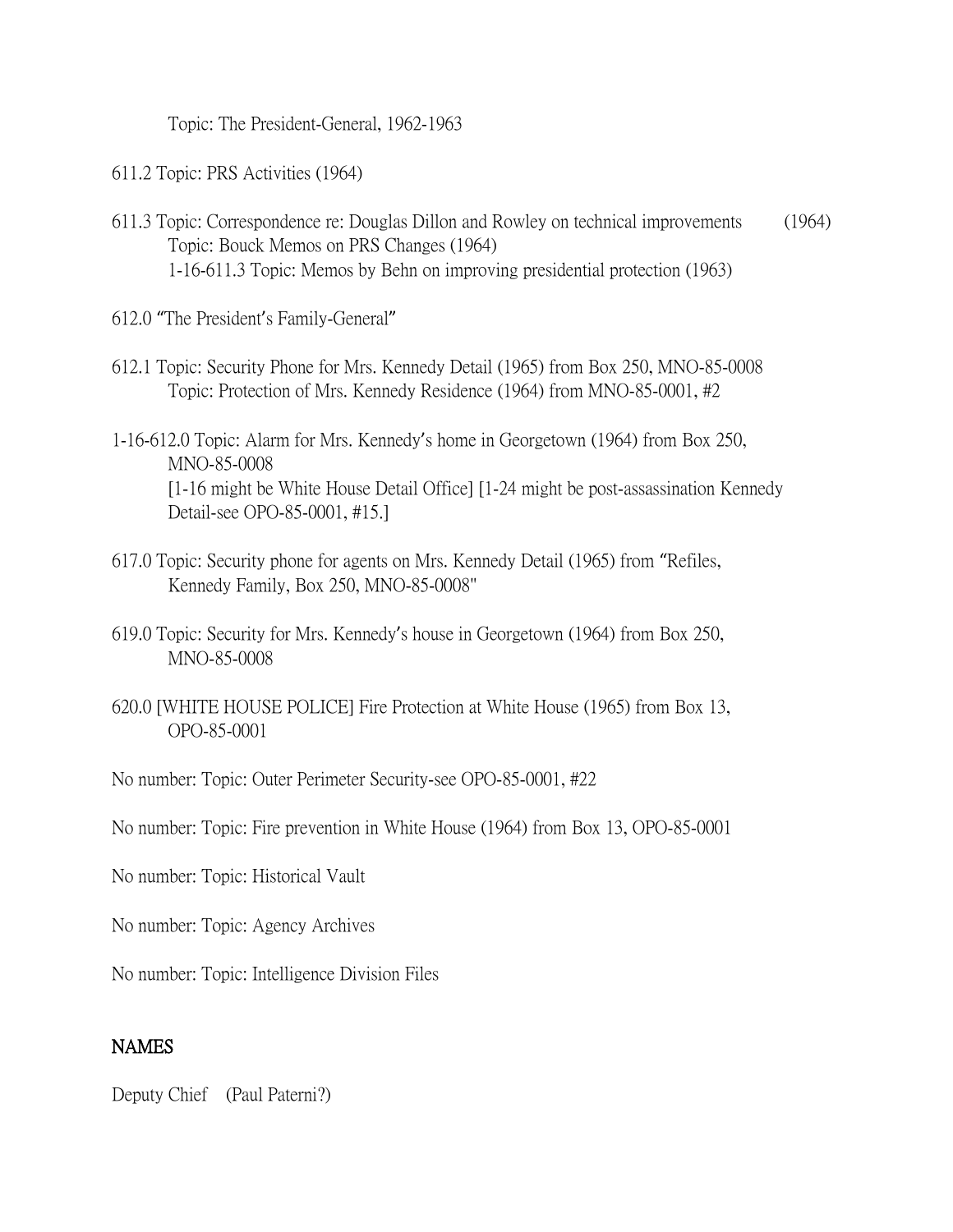Topic: The President-General, 1962-1963

611.2 Topic: PRS Activities (1964)

- 611.3 Topic: Correspondence re: Douglas Dillon and Rowley on technical improvements (1964) Topic: Bouck Memos on PRS Changes (1964) 1-16-611.3 Topic: Memos by Behn on improving presidential protection (1963)
- 612.0 "The President's Family-General"
- 612.1 Topic: Security Phone for Mrs. Kennedy Detail (1965) from Box 250, MNO-85-0008 Topic: Protection of Mrs. Kennedy Residence (1964) from MNO-85-0001, #2
- 1-16-612.0 Topic: Alarm for Mrs. Kennedy's home in Georgetown (1964) from Box 250, MNO-85-0008 [1-16 might be White House Detail Office] [1-24 might be post-assassination Kennedy Detail-see OPO-85-0001, #15.]
- 617.0 Topic: Security phone for agents on Mrs. Kennedy Detail (1965) from "Refiles, Kennedy Family, Box 250, MNO-85-0008"
- 619.0 Topic: Security for Mrs. Kennedy's house in Georgetown (1964) from Box 250, MNO-85-0008
- 620.0 [WHITE HOUSE POLICE] Fire Protection at White House (1965) from Box 13, OPO-85-0001

No number: Topic: Outer Perimeter Security-see OPO-85-0001, #22

No number: Topic: Fire prevention in White House (1964) from Box 13, OPO-85-0001

No number: Topic: Historical Vault

No number: Topic: Agency Archives

No number: Topic: Intelligence Division Files

## **NAMES**

Deputy Chief (Paul Paterni?)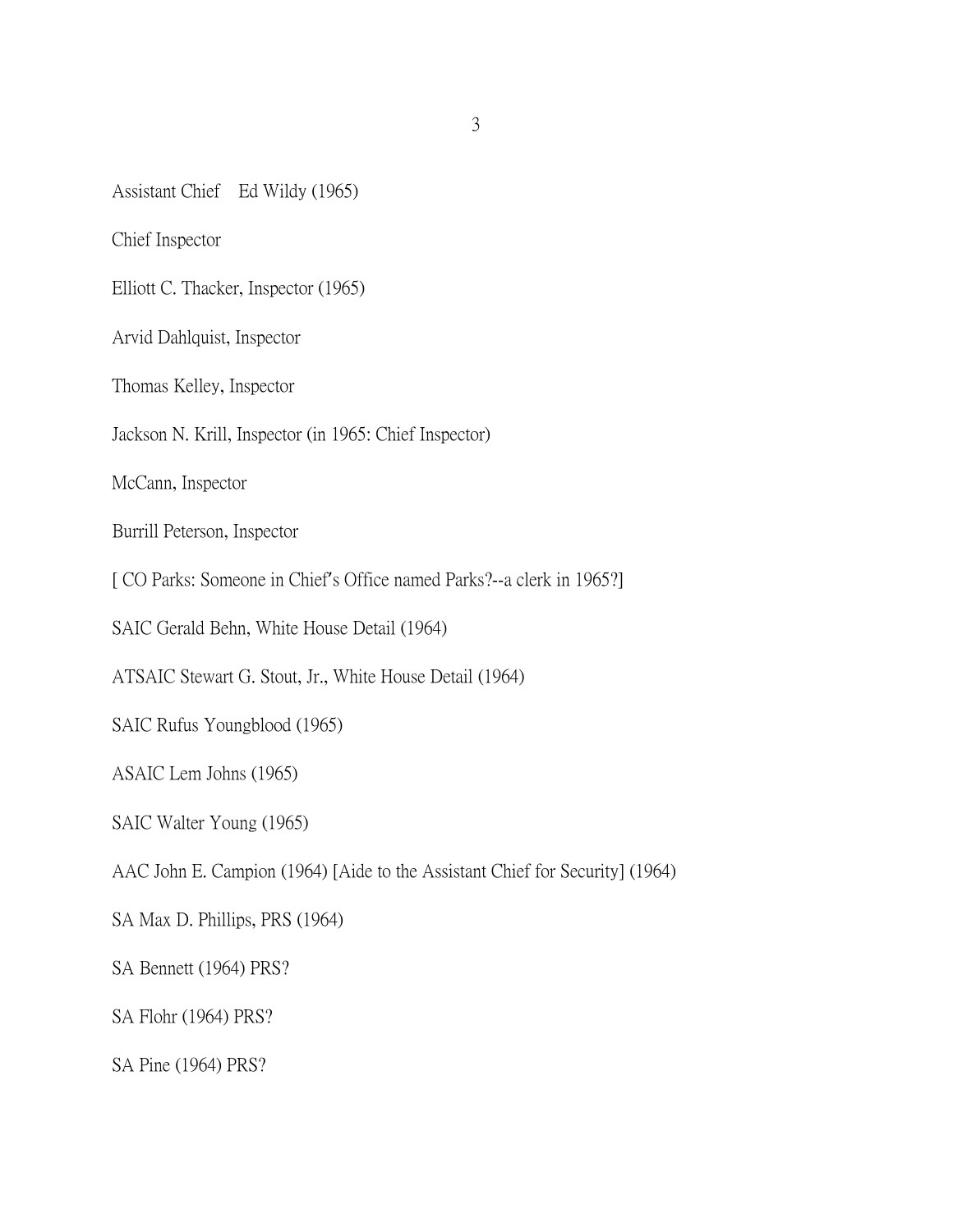Assistant Chief Ed Wildy (1965)

Chief Inspector

Elliott C. Thacker, Inspector (1965)

Arvid Dahlquist, Inspector

Thomas Kelley, Inspector

Jackson N. Krill, Inspector (in 1965: Chief Inspector)

McCann, Inspector

Burrill Peterson, Inspector

[ CO Parks: Someone in Chief's Office named Parks?--a clerk in 1965?]

SAIC Gerald Behn, White House Detail (1964)

ATSAIC Stewart G. Stout, Jr., White House Detail (1964)

SAIC Rufus Youngblood (1965)

ASAIC Lem Johns (1965)

SAIC Walter Young (1965)

AAC John E. Campion (1964) [Aide to the Assistant Chief for Security] (1964)

SA Max D. Phillips, PRS (1964)

SA Bennett (1964) PRS?

SA Flohr (1964) PRS?

SA Pine (1964) PRS?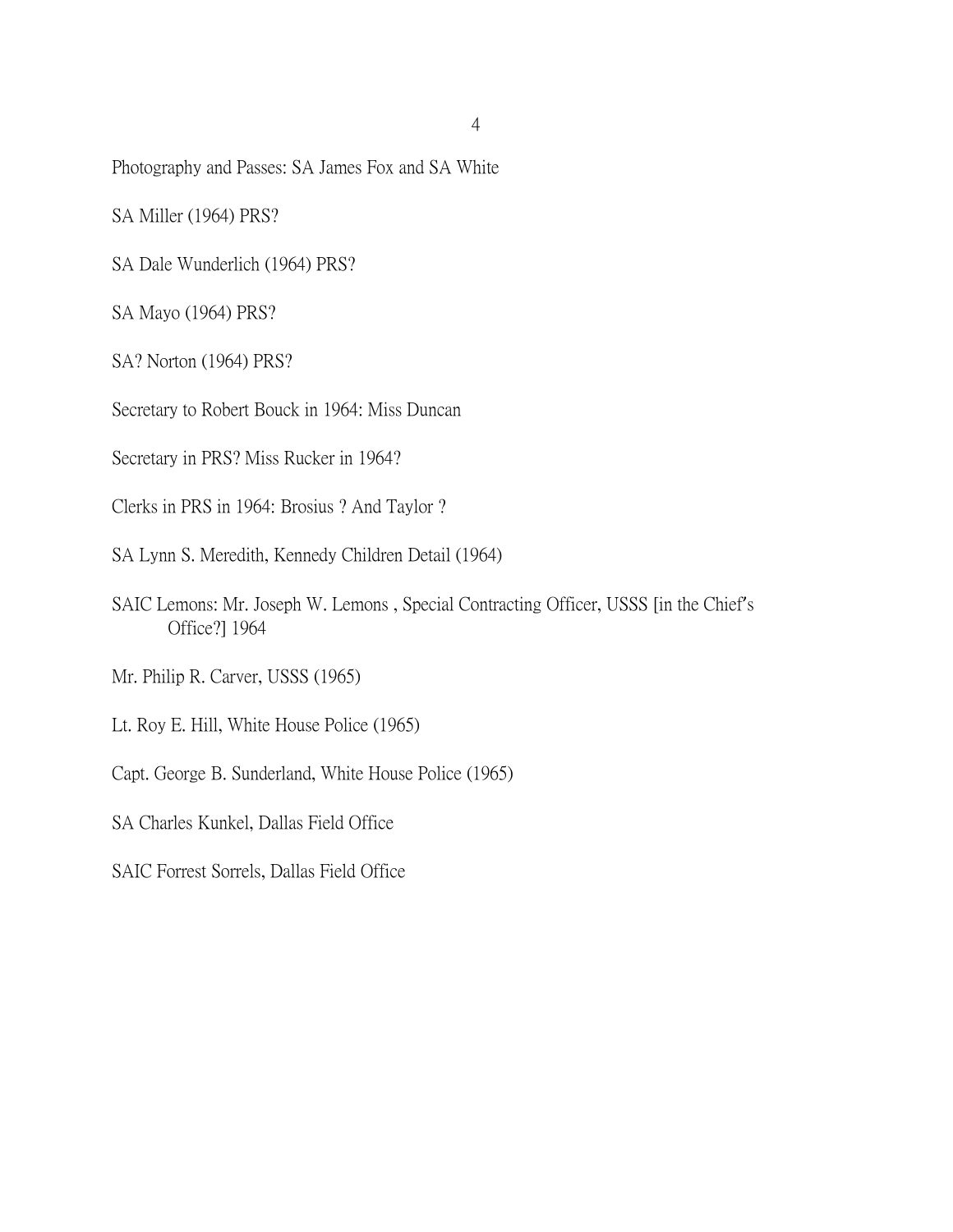Photography and Passes: SA James Fox and SA White

SA Miller (1964) PRS?

SA Dale Wunderlich (1964) PRS?

SA Mayo (1964) PRS?

SA? Norton (1964) PRS?

Secretary to Robert Bouck in 1964: Miss Duncan

Secretary in PRS? Miss Rucker in 1964?

Clerks in PRS in 1964: Brosius ? And Taylor ?

SA Lynn S. Meredith, Kennedy Children Detail (1964)

SAIC Lemons: Mr. Joseph W. Lemons , Special Contracting Officer, USSS [in the Chief's Office?] 1964

Mr. Philip R. Carver, USSS (1965)

Lt. Roy E. Hill, White House Police (1965)

Capt. George B. Sunderland, White House Police (1965)

SA Charles Kunkel, Dallas Field Office

SAIC Forrest Sorrels, Dallas Field Office